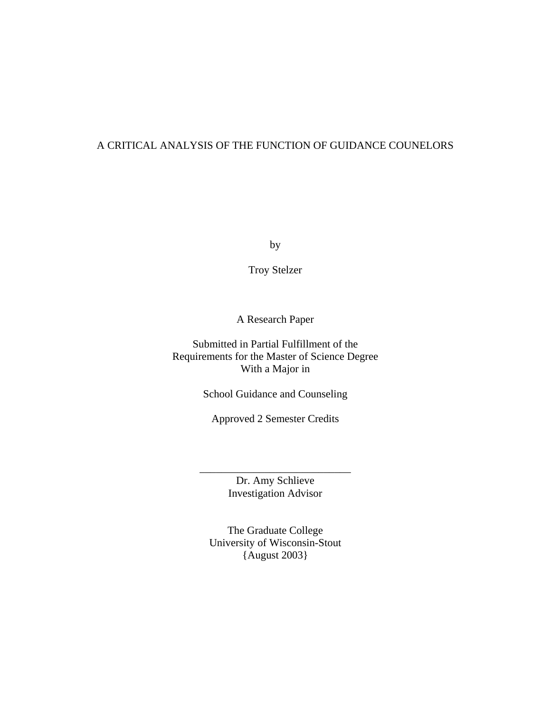# A CRITICAL ANALYSIS OF THE FUNCTION OF GUIDANCE COUNELORS

by

Troy Stelzer

A Research Paper

Submitted in Partial Fulfillment of the Requirements for the Master of Science Degree With a Major in

School Guidance and Counseling

Approved 2 Semester Credits

Dr. Amy Schlieve Investigation Advisor

\_\_\_\_\_\_\_\_\_\_\_\_\_\_\_\_\_\_\_\_\_\_\_\_\_\_\_\_

The Graduate College University of Wisconsin-Stout {August 2003}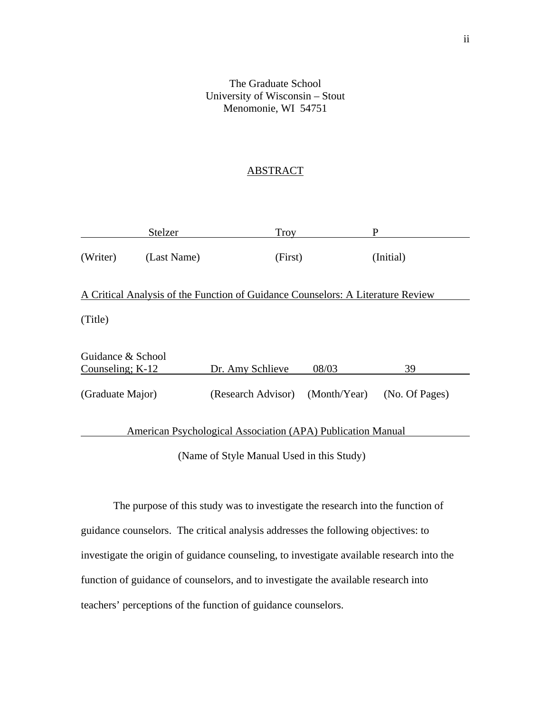# The Graduate School University of Wisconsin – Stout Menomonie, WI 54751

# **ABSTRACT**

|                                                                                 | Stelzer     | <b>Troy</b>        |              | P              |
|---------------------------------------------------------------------------------|-------------|--------------------|--------------|----------------|
| (Writer)                                                                        | (Last Name) | (First)            |              | (Initial)      |
| A Critical Analysis of the Function of Guidance Counselors: A Literature Review |             |                    |              |                |
| (Title)                                                                         |             |                    |              |                |
| Guidance & School<br>Counseling; $K-12$                                         |             | Dr. Amy Schlieve   | 08/03        | 39             |
| (Graduate Major)                                                                |             | (Research Advisor) | (Month/Year) | (No. Of Pages) |
| American Psychological Association (APA) Publication Manual                     |             |                    |              |                |

(Name of Style Manual Used in this Study)

 The purpose of this study was to investigate the research into the function of guidance counselors. The critical analysis addresses the following objectives: to investigate the origin of guidance counseling, to investigate available research into the function of guidance of counselors, and to investigate the available research into teachers' perceptions of the function of guidance counselors.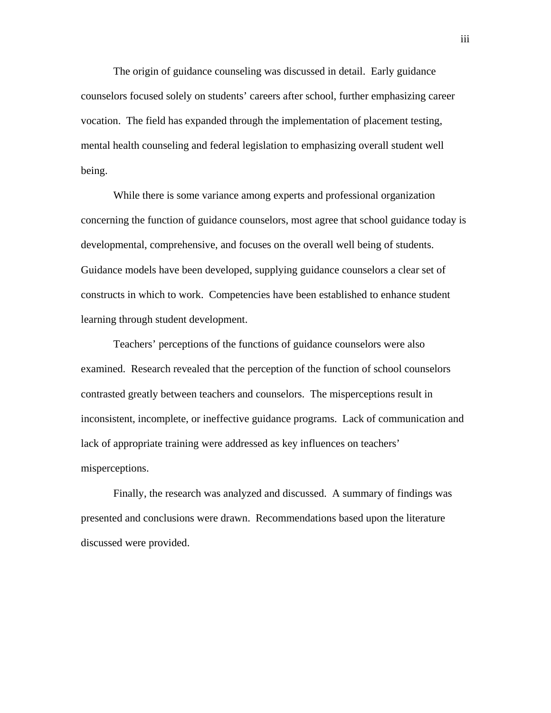The origin of guidance counseling was discussed in detail. Early guidance counselors focused solely on students' careers after school, further emphasizing career vocation. The field has expanded through the implementation of placement testing, mental health counseling and federal legislation to emphasizing overall student well being.

 While there is some variance among experts and professional organization concerning the function of guidance counselors, most agree that school guidance today is developmental, comprehensive, and focuses on the overall well being of students. Guidance models have been developed, supplying guidance counselors a clear set of constructs in which to work. Competencies have been established to enhance student learning through student development.

 Teachers' perceptions of the functions of guidance counselors were also examined. Research revealed that the perception of the function of school counselors contrasted greatly between teachers and counselors. The misperceptions result in inconsistent, incomplete, or ineffective guidance programs. Lack of communication and lack of appropriate training were addressed as key influences on teachers' misperceptions.

 Finally, the research was analyzed and discussed. A summary of findings was presented and conclusions were drawn. Recommendations based upon the literature discussed were provided.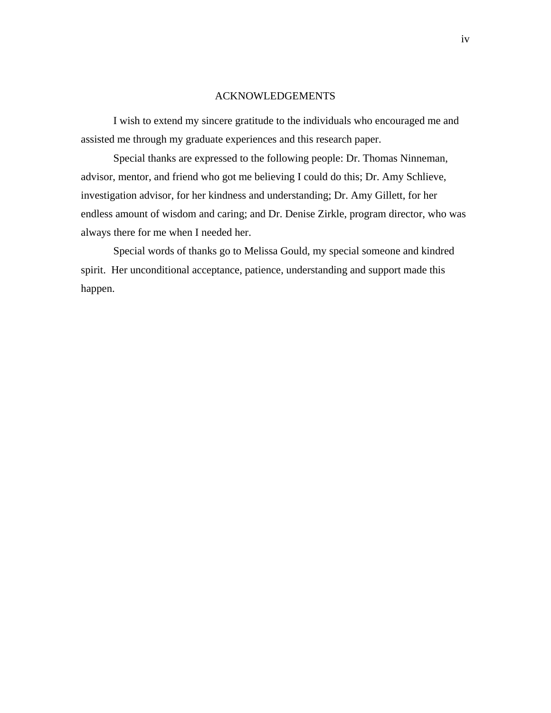#### ACKNOWLEDGEMENTS

I wish to extend my sincere gratitude to the individuals who encouraged me and assisted me through my graduate experiences and this research paper.

Special thanks are expressed to the following people: Dr. Thomas Ninneman, advisor, mentor, and friend who got me believing I could do this; Dr. Amy Schlieve, investigation advisor, for her kindness and understanding; Dr. Amy Gillett, for her endless amount of wisdom and caring; and Dr. Denise Zirkle, program director, who was always there for me when I needed her.

 Special words of thanks go to Melissa Gould, my special someone and kindred spirit. Her unconditional acceptance, patience, understanding and support made this happen.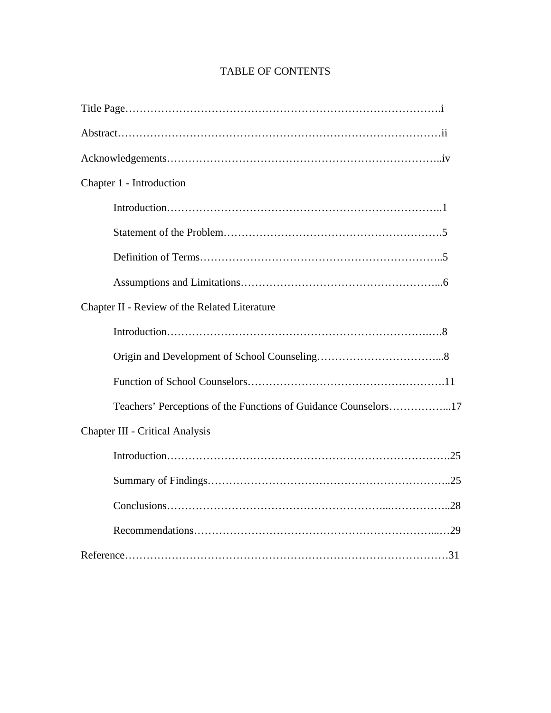# Title Page…………………………………………………………………………….i Abstract………………………………………………………………………………ii Acknowledgements…………………………………………………………………..iv Chapter 1 - Introduction Introduction…………………………………………………………………..1 Statement of the Problem…………………………………………………….5 Definition of Terms…………………………………………………………..5 Assumptions and Limitations………………………………………………...6 Chapter II - Review of the Related Literature Introduction……………………………………………………………….….8 Origin and Development of School Counseling……………………………...8 Function of School Counselors……………………………………………….11 Teachers' Perceptions of the Functions of Guidance Counselors……………...17 Chapter III - Critical Analysis Introduction…………………………………………………………………….25 Summary of Findings…………………………………………………………..25 Conclusions……………………………………………………...……………..28 Recommendations…………………………………………………………...…29 Reference………………………………………………………………………………31

# TABLE OF CONTENTS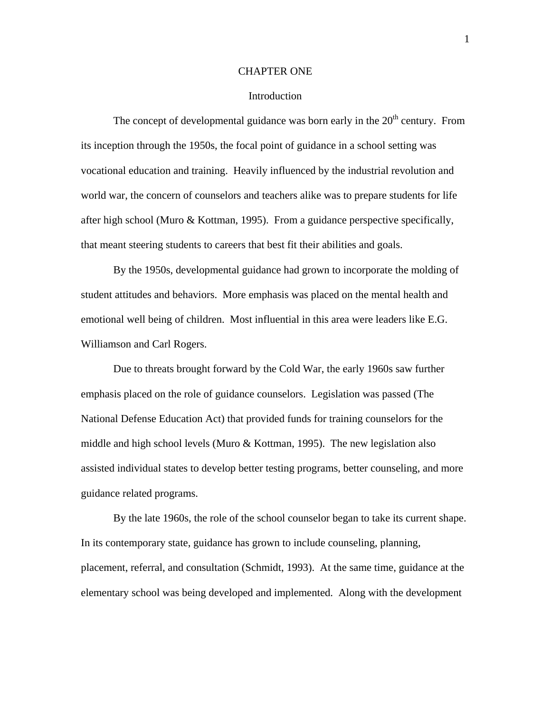#### CHAPTER ONE

#### Introduction

The concept of developmental guidance was born early in the  $20<sup>th</sup>$  century. From its inception through the 1950s, the focal point of guidance in a school setting was vocational education and training. Heavily influenced by the industrial revolution and world war, the concern of counselors and teachers alike was to prepare students for life after high school (Muro & Kottman, 1995). From a guidance perspective specifically, that meant steering students to careers that best fit their abilities and goals.

By the 1950s, developmental guidance had grown to incorporate the molding of student attitudes and behaviors. More emphasis was placed on the mental health and emotional well being of children. Most influential in this area were leaders like E.G. Williamson and Carl Rogers.

Due to threats brought forward by the Cold War, the early 1960s saw further emphasis placed on the role of guidance counselors. Legislation was passed (The National Defense Education Act) that provided funds for training counselors for the middle and high school levels (Muro & Kottman, 1995). The new legislation also assisted individual states to develop better testing programs, better counseling, and more guidance related programs.

By the late 1960s, the role of the school counselor began to take its current shape. In its contemporary state, guidance has grown to include counseling, planning, placement, referral, and consultation (Schmidt, 1993). At the same time, guidance at the elementary school was being developed and implemented. Along with the development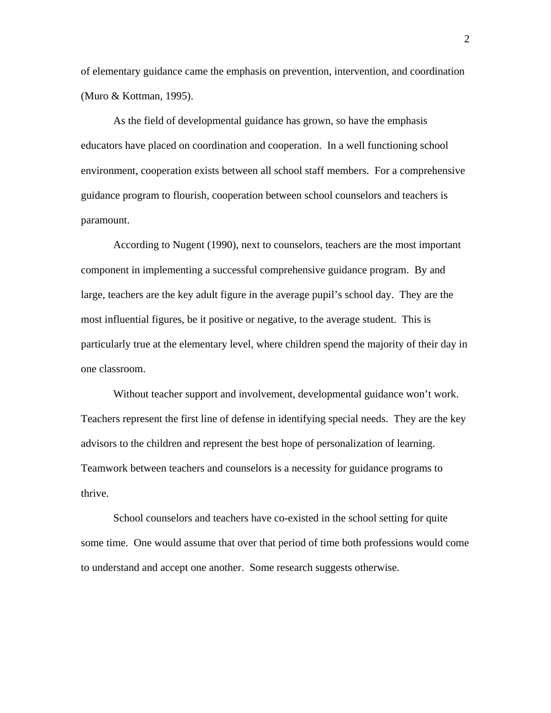of elementary guidance came the emphasis on prevention, intervention, and coordination (Muro & Kottman, 1995).

As the field of developmental guidance has grown, so have the emphasis educators have placed on coordination and cooperation. In a well functioning school environment, cooperation exists between all school staff members. For a comprehensive guidance program to flourish, cooperation between school counselors and teachers is paramount.

According to Nugent (1990), next to counselors, teachers are the most important component in implementing a successful comprehensive guidance program. By and large, teachers are the key adult figure in the average pupil's school day. They are the most influential figures, be it positive or negative, to the average student. This is particularly true at the elementary level, where children spend the majority of their day in one classroom.

Without teacher support and involvement, developmental guidance won't work. Teachers represent the first line of defense in identifying special needs. They are the key advisors to the children and represent the best hope of personalization of learning. Teamwork between teachers and counselors is a necessity for guidance programs to thrive.

School counselors and teachers have co-existed in the school setting for quite some time. One would assume that over that period of time both professions would come to understand and accept one another. Some research suggests otherwise.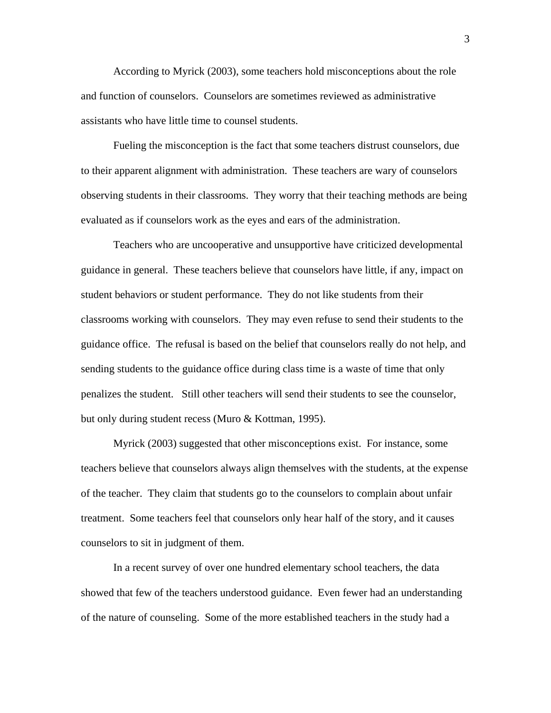According to Myrick (2003), some teachers hold misconceptions about the role and function of counselors. Counselors are sometimes reviewed as administrative assistants who have little time to counsel students.

Fueling the misconception is the fact that some teachers distrust counselors, due to their apparent alignment with administration. These teachers are wary of counselors observing students in their classrooms. They worry that their teaching methods are being evaluated as if counselors work as the eyes and ears of the administration.

Teachers who are uncooperative and unsupportive have criticized developmental guidance in general. These teachers believe that counselors have little, if any, impact on student behaviors or student performance. They do not like students from their classrooms working with counselors. They may even refuse to send their students to the guidance office. The refusal is based on the belief that counselors really do not help, and sending students to the guidance office during class time is a waste of time that only penalizes the student. Still other teachers will send their students to see the counselor, but only during student recess (Muro & Kottman, 1995).

Myrick (2003) suggested that other misconceptions exist. For instance, some teachers believe that counselors always align themselves with the students, at the expense of the teacher. They claim that students go to the counselors to complain about unfair treatment. Some teachers feel that counselors only hear half of the story, and it causes counselors to sit in judgment of them.

 In a recent survey of over one hundred elementary school teachers, the data showed that few of the teachers understood guidance. Even fewer had an understanding of the nature of counseling. Some of the more established teachers in the study had a

3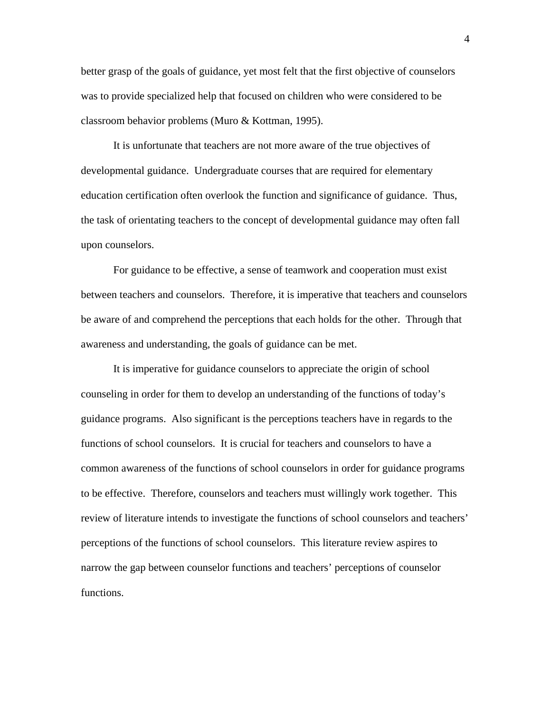better grasp of the goals of guidance, yet most felt that the first objective of counselors was to provide specialized help that focused on children who were considered to be classroom behavior problems (Muro & Kottman, 1995).

It is unfortunate that teachers are not more aware of the true objectives of developmental guidance. Undergraduate courses that are required for elementary education certification often overlook the function and significance of guidance. Thus, the task of orientating teachers to the concept of developmental guidance may often fall upon counselors.

For guidance to be effective, a sense of teamwork and cooperation must exist between teachers and counselors. Therefore, it is imperative that teachers and counselors be aware of and comprehend the perceptions that each holds for the other. Through that awareness and understanding, the goals of guidance can be met.

It is imperative for guidance counselors to appreciate the origin of school counseling in order for them to develop an understanding of the functions of today's guidance programs. Also significant is the perceptions teachers have in regards to the functions of school counselors. It is crucial for teachers and counselors to have a common awareness of the functions of school counselors in order for guidance programs to be effective. Therefore, counselors and teachers must willingly work together. This review of literature intends to investigate the functions of school counselors and teachers' perceptions of the functions of school counselors. This literature review aspires to narrow the gap between counselor functions and teachers' perceptions of counselor functions.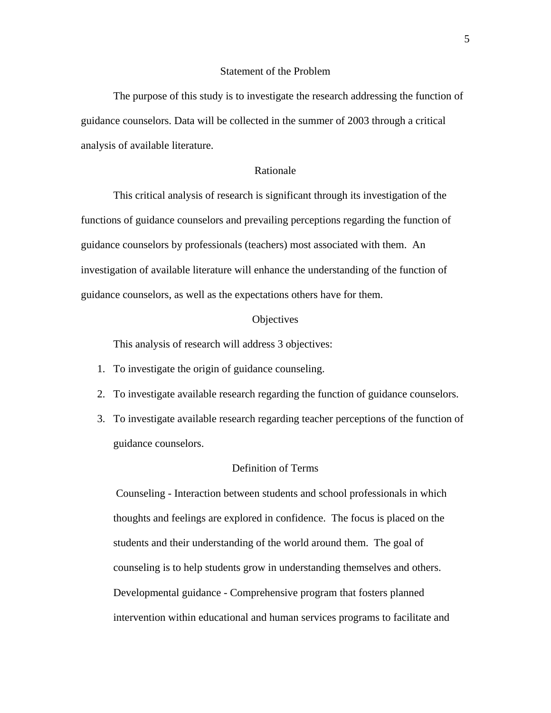#### Statement of the Problem

 The purpose of this study is to investigate the research addressing the function of guidance counselors. Data will be collected in the summer of 2003 through a critical analysis of available literature.

## Rationale

 This critical analysis of research is significant through its investigation of the functions of guidance counselors and prevailing perceptions regarding the function of guidance counselors by professionals (teachers) most associated with them. An investigation of available literature will enhance the understanding of the function of guidance counselors, as well as the expectations others have for them.

#### **Objectives**

This analysis of research will address 3 objectives:

- 1. To investigate the origin of guidance counseling.
- 2. To investigate available research regarding the function of guidance counselors.
- 3. To investigate available research regarding teacher perceptions of the function of guidance counselors.

#### Definition of Terms

 Counseling - Interaction between students and school professionals in which thoughts and feelings are explored in confidence. The focus is placed on the students and their understanding of the world around them. The goal of counseling is to help students grow in understanding themselves and others. Developmental guidance - Comprehensive program that fosters planned intervention within educational and human services programs to facilitate and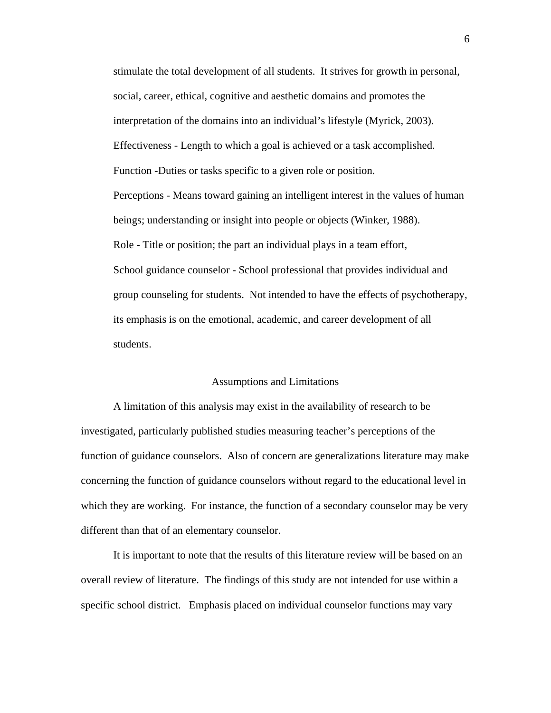stimulate the total development of all students. It strives for growth in personal, social, career, ethical, cognitive and aesthetic domains and promotes the interpretation of the domains into an individual's lifestyle (Myrick, 2003). Effectiveness - Length to which a goal is achieved or a task accomplished. Function -Duties or tasks specific to a given role or position. Perceptions - Means toward gaining an intelligent interest in the values of human beings; understanding or insight into people or objects (Winker, 1988). Role - Title or position; the part an individual plays in a team effort, School guidance counselor - School professional that provides individual and group counseling for students. Not intended to have the effects of psychotherapy, its emphasis is on the emotional, academic, and career development of all students.

## Assumptions and Limitations

 A limitation of this analysis may exist in the availability of research to be investigated, particularly published studies measuring teacher's perceptions of the function of guidance counselors. Also of concern are generalizations literature may make concerning the function of guidance counselors without regard to the educational level in which they are working. For instance, the function of a secondary counselor may be very different than that of an elementary counselor.

 It is important to note that the results of this literature review will be based on an overall review of literature. The findings of this study are not intended for use within a specific school district. Emphasis placed on individual counselor functions may vary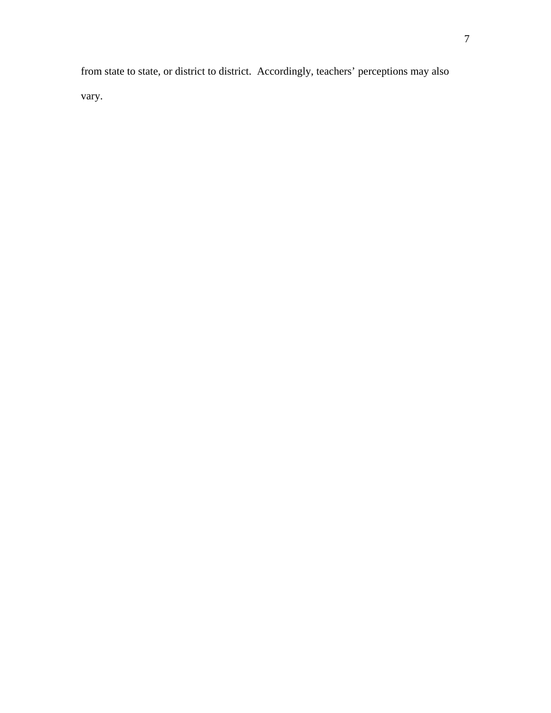from state to state, or district to district. Accordingly, teachers' perceptions may also vary.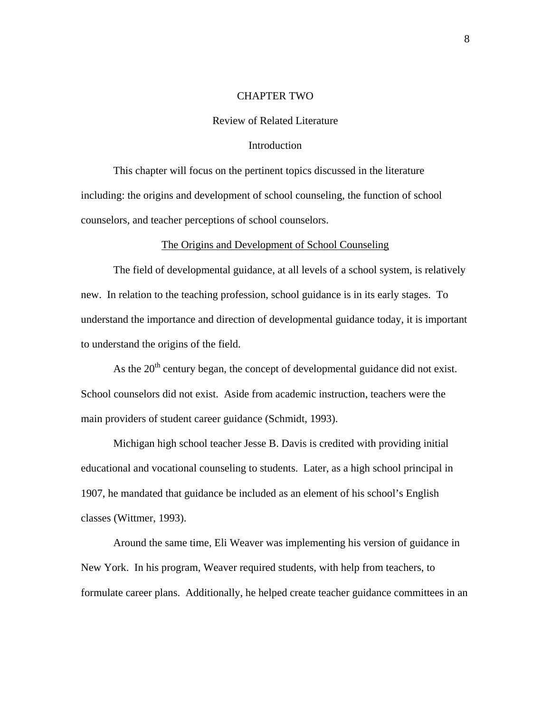## CHAPTER TWO

## Review of Related Literature

#### **Introduction**

 This chapter will focus on the pertinent topics discussed in the literature including: the origins and development of school counseling, the function of school counselors, and teacher perceptions of school counselors.

#### The Origins and Development of School Counseling

 The field of developmental guidance, at all levels of a school system, is relatively new. In relation to the teaching profession, school guidance is in its early stages. To understand the importance and direction of developmental guidance today, it is important to understand the origins of the field.

As the  $20<sup>th</sup>$  century began, the concept of developmental guidance did not exist. School counselors did not exist. Aside from academic instruction, teachers were the main providers of student career guidance (Schmidt, 1993).

 Michigan high school teacher Jesse B. Davis is credited with providing initial educational and vocational counseling to students. Later, as a high school principal in 1907, he mandated that guidance be included as an element of his school's English classes (Wittmer, 1993).

 Around the same time, Eli Weaver was implementing his version of guidance in New York. In his program, Weaver required students, with help from teachers, to formulate career plans. Additionally, he helped create teacher guidance committees in an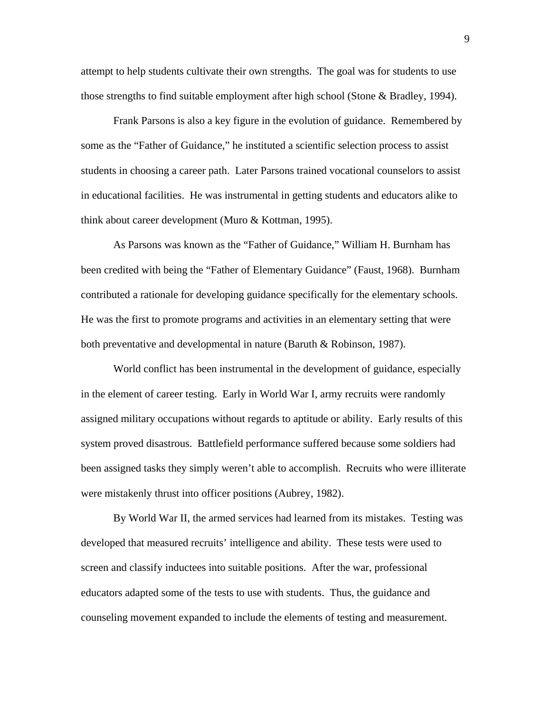attempt to help students cultivate their own strengths. The goal was for students to use those strengths to find suitable employment after high school (Stone & Bradley, 1994).

 Frank Parsons is also a key figure in the evolution of guidance. Remembered by some as the "Father of Guidance," he instituted a scientific selection process to assist students in choosing a career path. Later Parsons trained vocational counselors to assist in educational facilities. He was instrumental in getting students and educators alike to think about career development (Muro & Kottman, 1995).

 As Parsons was known as the "Father of Guidance," William H. Burnham has been credited with being the "Father of Elementary Guidance" (Faust, 1968). Burnham contributed a rationale for developing guidance specifically for the elementary schools. He was the first to promote programs and activities in an elementary setting that were both preventative and developmental in nature (Baruth & Robinson, 1987).

 World conflict has been instrumental in the development of guidance, especially in the element of career testing. Early in World War I, army recruits were randomly assigned military occupations without regards to aptitude or ability. Early results of this system proved disastrous. Battlefield performance suffered because some soldiers had been assigned tasks they simply weren't able to accomplish. Recruits who were illiterate were mistakenly thrust into officer positions (Aubrey, 1982).

 By World War II, the armed services had learned from its mistakes. Testing was developed that measured recruits' intelligence and ability. These tests were used to screen and classify inductees into suitable positions. After the war, professional educators adapted some of the tests to use with students. Thus, the guidance and counseling movement expanded to include the elements of testing and measurement.

9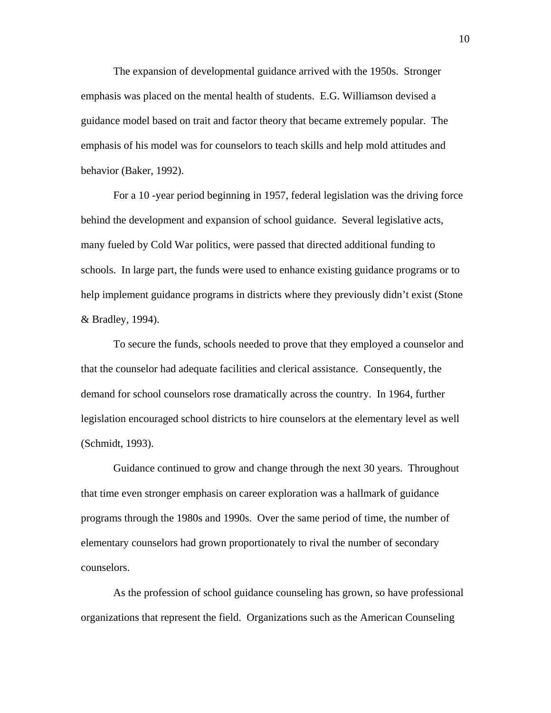The expansion of developmental guidance arrived with the 1950s. Stronger emphasis was placed on the mental health of students. E.G. Williamson devised a guidance model based on trait and factor theory that became extremely popular. The emphasis of his model was for counselors to teach skills and help mold attitudes and behavior (Baker, 1992).

 For a 10 -year period beginning in 1957, federal legislation was the driving force behind the development and expansion of school guidance. Several legislative acts, many fueled by Cold War politics, were passed that directed additional funding to schools. In large part, the funds were used to enhance existing guidance programs or to help implement guidance programs in districts where they previously didn't exist (Stone & Bradley, 1994).

 To secure the funds, schools needed to prove that they employed a counselor and that the counselor had adequate facilities and clerical assistance. Consequently, the demand for school counselors rose dramatically across the country. In 1964, further legislation encouraged school districts to hire counselors at the elementary level as well (Schmidt, 1993).

 Guidance continued to grow and change through the next 30 years. Throughout that time even stronger emphasis on career exploration was a hallmark of guidance programs through the 1980s and 1990s. Over the same period of time, the number of elementary counselors had grown proportionately to rival the number of secondary counselors.

 As the profession of school guidance counseling has grown, so have professional organizations that represent the field. Organizations such as the American Counseling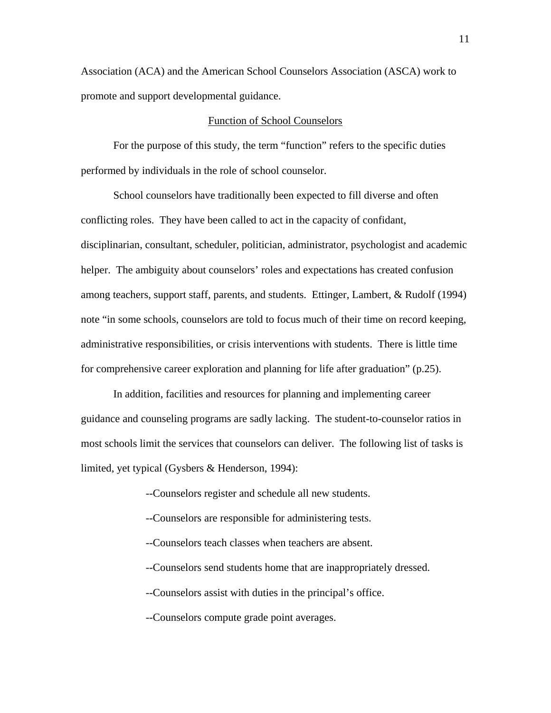Association (ACA) and the American School Counselors Association (ASCA) work to promote and support developmental guidance.

# Function of School Counselors

 For the purpose of this study, the term "function" refers to the specific duties performed by individuals in the role of school counselor.

 School counselors have traditionally been expected to fill diverse and often conflicting roles. They have been called to act in the capacity of confidant, disciplinarian, consultant, scheduler, politician, administrator, psychologist and academic helper. The ambiguity about counselors' roles and expectations has created confusion among teachers, support staff, parents, and students. Ettinger, Lambert, & Rudolf (1994) note "in some schools, counselors are told to focus much of their time on record keeping, administrative responsibilities, or crisis interventions with students. There is little time for comprehensive career exploration and planning for life after graduation" (p.25).

In addition, facilities and resources for planning and implementing career guidance and counseling programs are sadly lacking. The student-to-counselor ratios in most schools limit the services that counselors can deliver. The following list of tasks is limited, yet typical (Gysbers & Henderson, 1994):

--Counselors register and schedule all new students.

- --Counselors are responsible for administering tests.
- --Counselors teach classes when teachers are absent.
- --Counselors send students home that are inappropriately dressed.
- --Counselors assist with duties in the principal's office.

--Counselors compute grade point averages.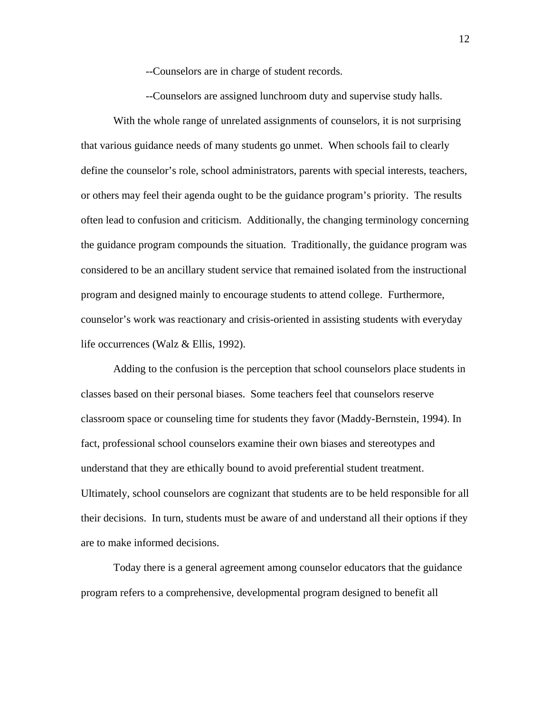--Counselors are in charge of student records.

--Counselors are assigned lunchroom duty and supervise study halls.

With the whole range of unrelated assignments of counselors, it is not surprising that various guidance needs of many students go unmet. When schools fail to clearly define the counselor's role, school administrators, parents with special interests, teachers, or others may feel their agenda ought to be the guidance program's priority. The results often lead to confusion and criticism. Additionally, the changing terminology concerning the guidance program compounds the situation. Traditionally, the guidance program was considered to be an ancillary student service that remained isolated from the instructional program and designed mainly to encourage students to attend college. Furthermore, counselor's work was reactionary and crisis-oriented in assisting students with everyday life occurrences (Walz & Ellis, 1992).

 Adding to the confusion is the perception that school counselors place students in classes based on their personal biases. Some teachers feel that counselors reserve classroom space or counseling time for students they favor (Maddy-Bernstein, 1994). In fact, professional school counselors examine their own biases and stereotypes and understand that they are ethically bound to avoid preferential student treatment. Ultimately, school counselors are cognizant that students are to be held responsible for all their decisions. In turn, students must be aware of and understand all their options if they are to make informed decisions.

 Today there is a general agreement among counselor educators that the guidance program refers to a comprehensive, developmental program designed to benefit all

12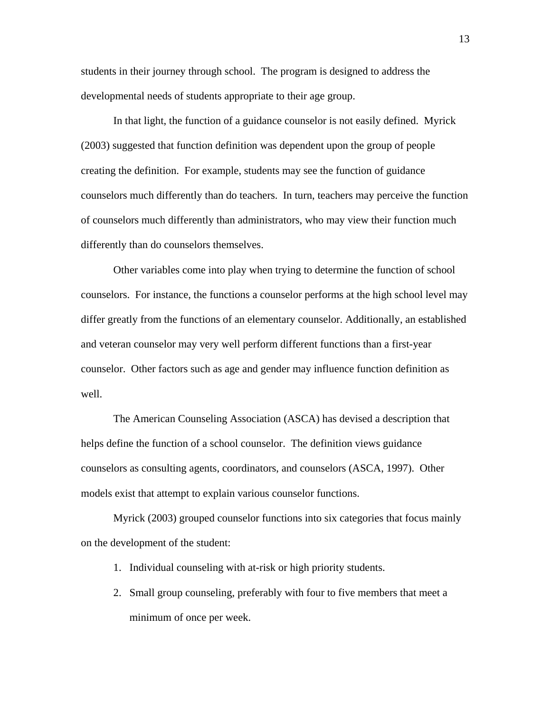students in their journey through school. The program is designed to address the developmental needs of students appropriate to their age group.

 In that light, the function of a guidance counselor is not easily defined. Myrick (2003) suggested that function definition was dependent upon the group of people creating the definition. For example, students may see the function of guidance counselors much differently than do teachers. In turn, teachers may perceive the function of counselors much differently than administrators, who may view their function much differently than do counselors themselves.

 Other variables come into play when trying to determine the function of school counselors. For instance, the functions a counselor performs at the high school level may differ greatly from the functions of an elementary counselor. Additionally, an established and veteran counselor may very well perform different functions than a first-year counselor. Other factors such as age and gender may influence function definition as well.

 The American Counseling Association (ASCA) has devised a description that helps define the function of a school counselor. The definition views guidance counselors as consulting agents, coordinators, and counselors (ASCA, 1997). Other models exist that attempt to explain various counselor functions.

 Myrick (2003) grouped counselor functions into six categories that focus mainly on the development of the student:

- 1. Individual counseling with at-risk or high priority students.
- 2. Small group counseling, preferably with four to five members that meet a minimum of once per week.

13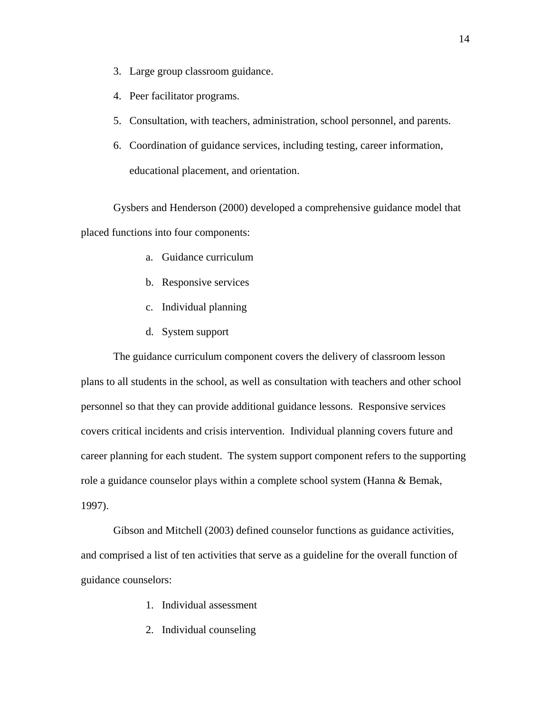- 3. Large group classroom guidance.
- 4. Peer facilitator programs.
- 5. Consultation, with teachers, administration, school personnel, and parents.
- 6. Coordination of guidance services, including testing, career information, educational placement, and orientation.

Gysbers and Henderson (2000) developed a comprehensive guidance model that placed functions into four components:

- a. Guidance curriculum
- b. Responsive services
- c. Individual planning
- d. System support

The guidance curriculum component covers the delivery of classroom lesson plans to all students in the school, as well as consultation with teachers and other school personnel so that they can provide additional guidance lessons. Responsive services covers critical incidents and crisis intervention. Individual planning covers future and career planning for each student. The system support component refers to the supporting role a guidance counselor plays within a complete school system (Hanna & Bemak, 1997).

Gibson and Mitchell (2003) defined counselor functions as guidance activities, and comprised a list of ten activities that serve as a guideline for the overall function of guidance counselors:

- 1. Individual assessment
- 2. Individual counseling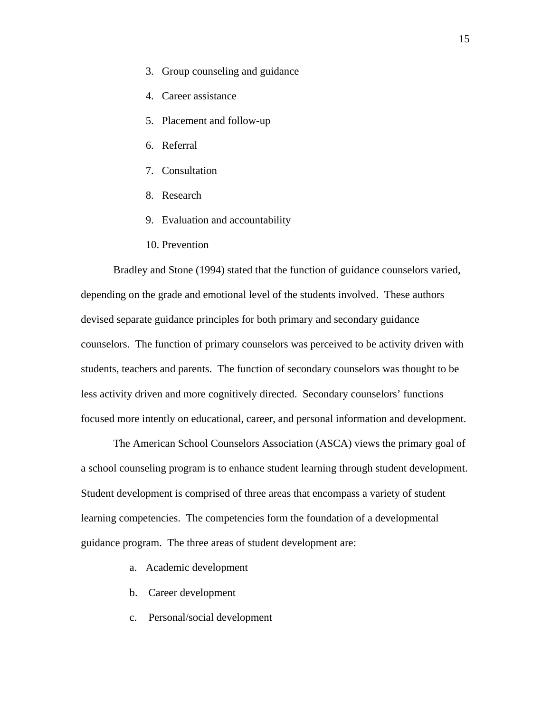- 3. Group counseling and guidance
- 4. Career assistance
- 5. Placement and follow-up
- 6. Referral
- 7. Consultation
- 8. Research
- 9. Evaluation and accountability
- 10. Prevention

Bradley and Stone (1994) stated that the function of guidance counselors varied, depending on the grade and emotional level of the students involved. These authors devised separate guidance principles for both primary and secondary guidance counselors. The function of primary counselors was perceived to be activity driven with students, teachers and parents. The function of secondary counselors was thought to be less activity driven and more cognitively directed. Secondary counselors' functions focused more intently on educational, career, and personal information and development.

 The American School Counselors Association (ASCA) views the primary goal of a school counseling program is to enhance student learning through student development. Student development is comprised of three areas that encompass a variety of student learning competencies. The competencies form the foundation of a developmental guidance program. The three areas of student development are:

- a. Academic development
- b. Career development
- c. Personal/social development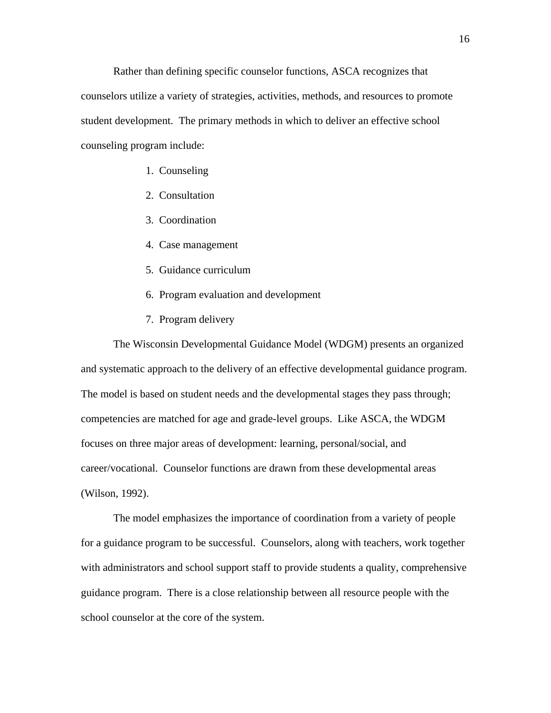Rather than defining specific counselor functions, ASCA recognizes that counselors utilize a variety of strategies, activities, methods, and resources to promote student development. The primary methods in which to deliver an effective school counseling program include:

- 1. Counseling
- 2. Consultation
- 3. Coordination
- 4. Case management
- 5. Guidance curriculum
- 6. Program evaluation and development
- 7. Program delivery

 The Wisconsin Developmental Guidance Model (WDGM) presents an organized and systematic approach to the delivery of an effective developmental guidance program. The model is based on student needs and the developmental stages they pass through; competencies are matched for age and grade-level groups. Like ASCA, the WDGM focuses on three major areas of development: learning, personal/social, and career/vocational. Counselor functions are drawn from these developmental areas (Wilson, 1992).

 The model emphasizes the importance of coordination from a variety of people for a guidance program to be successful. Counselors, along with teachers, work together with administrators and school support staff to provide students a quality, comprehensive guidance program. There is a close relationship between all resource people with the school counselor at the core of the system.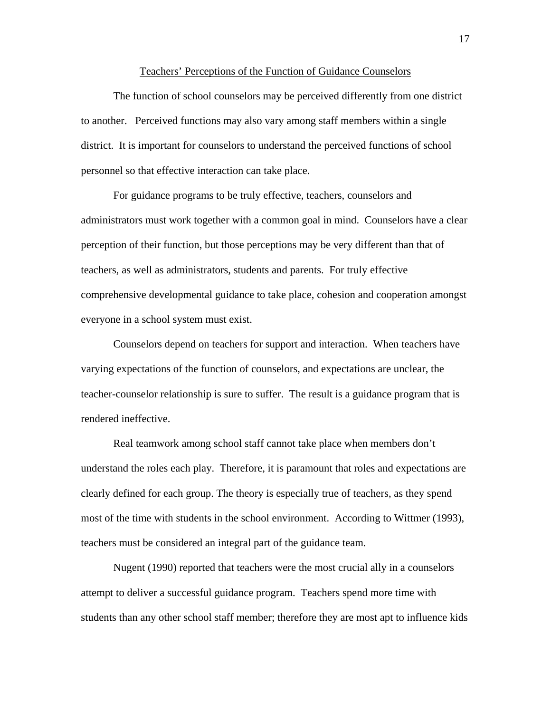#### Teachers' Perceptions of the Function of Guidance Counselors

 The function of school counselors may be perceived differently from one district to another. Perceived functions may also vary among staff members within a single district. It is important for counselors to understand the perceived functions of school personnel so that effective interaction can take place.

 For guidance programs to be truly effective, teachers, counselors and administrators must work together with a common goal in mind. Counselors have a clear perception of their function, but those perceptions may be very different than that of teachers, as well as administrators, students and parents. For truly effective comprehensive developmental guidance to take place, cohesion and cooperation amongst everyone in a school system must exist.

 Counselors depend on teachers for support and interaction. When teachers have varying expectations of the function of counselors, and expectations are unclear, the teacher-counselor relationship is sure to suffer. The result is a guidance program that is rendered ineffective.

 Real teamwork among school staff cannot take place when members don't understand the roles each play. Therefore, it is paramount that roles and expectations are clearly defined for each group. The theory is especially true of teachers, as they spend most of the time with students in the school environment. According to Wittmer (1993), teachers must be considered an integral part of the guidance team.

 Nugent (1990) reported that teachers were the most crucial ally in a counselors attempt to deliver a successful guidance program. Teachers spend more time with students than any other school staff member; therefore they are most apt to influence kids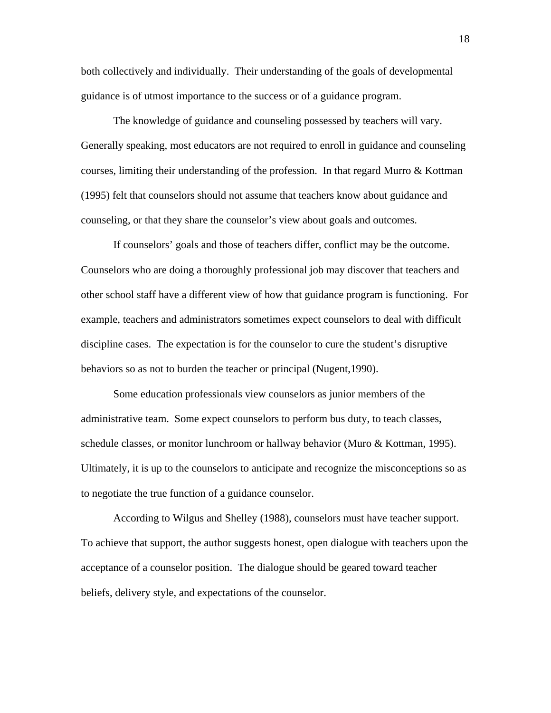both collectively and individually. Their understanding of the goals of developmental guidance is of utmost importance to the success or of a guidance program.

 The knowledge of guidance and counseling possessed by teachers will vary. Generally speaking, most educators are not required to enroll in guidance and counseling courses, limiting their understanding of the profession. In that regard Murro & Kottman (1995) felt that counselors should not assume that teachers know about guidance and counseling, or that they share the counselor's view about goals and outcomes.

 If counselors' goals and those of teachers differ, conflict may be the outcome. Counselors who are doing a thoroughly professional job may discover that teachers and other school staff have a different view of how that guidance program is functioning. For example, teachers and administrators sometimes expect counselors to deal with difficult discipline cases. The expectation is for the counselor to cure the student's disruptive behaviors so as not to burden the teacher or principal (Nugent,1990).

 Some education professionals view counselors as junior members of the administrative team. Some expect counselors to perform bus duty, to teach classes, schedule classes, or monitor lunchroom or hallway behavior (Muro & Kottman, 1995). Ultimately, it is up to the counselors to anticipate and recognize the misconceptions so as to negotiate the true function of a guidance counselor.

 According to Wilgus and Shelley (1988), counselors must have teacher support. To achieve that support, the author suggests honest, open dialogue with teachers upon the acceptance of a counselor position. The dialogue should be geared toward teacher beliefs, delivery style, and expectations of the counselor.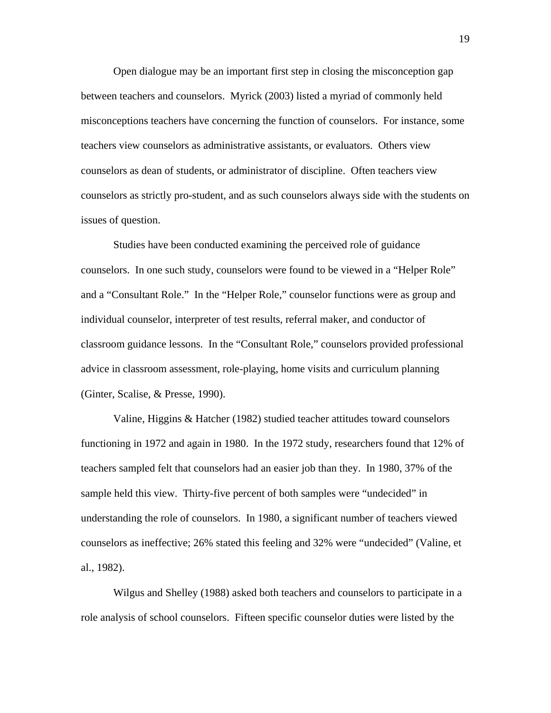Open dialogue may be an important first step in closing the misconception gap between teachers and counselors. Myrick (2003) listed a myriad of commonly held misconceptions teachers have concerning the function of counselors. For instance, some teachers view counselors as administrative assistants, or evaluators. Others view counselors as dean of students, or administrator of discipline. Often teachers view counselors as strictly pro-student, and as such counselors always side with the students on issues of question.

 Studies have been conducted examining the perceived role of guidance counselors. In one such study, counselors were found to be viewed in a "Helper Role" and a "Consultant Role." In the "Helper Role," counselor functions were as group and individual counselor, interpreter of test results, referral maker, and conductor of classroom guidance lessons. In the "Consultant Role," counselors provided professional advice in classroom assessment, role-playing, home visits and curriculum planning (Ginter, Scalise, & Presse, 1990).

 Valine, Higgins & Hatcher (1982) studied teacher attitudes toward counselors functioning in 1972 and again in 1980. In the 1972 study, researchers found that 12% of teachers sampled felt that counselors had an easier job than they. In 1980, 37% of the sample held this view. Thirty-five percent of both samples were "undecided" in understanding the role of counselors. In 1980, a significant number of teachers viewed counselors as ineffective; 26% stated this feeling and 32% were "undecided" (Valine, et al., 1982).

Wilgus and Shelley (1988) asked both teachers and counselors to participate in a role analysis of school counselors. Fifteen specific counselor duties were listed by the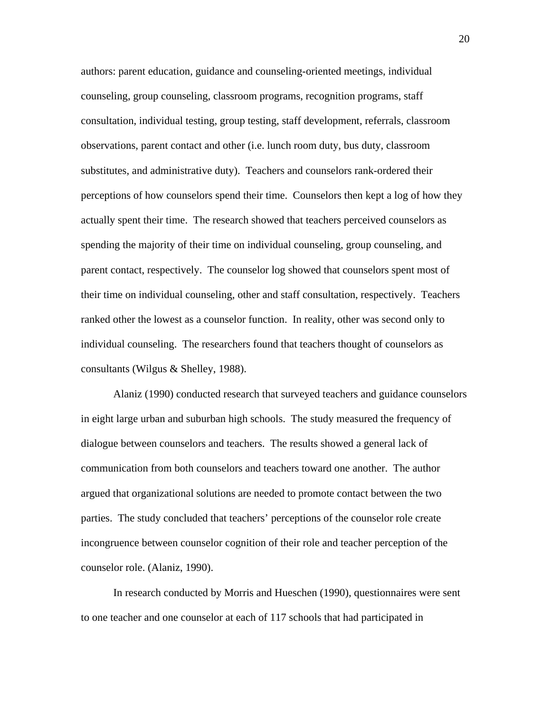authors: parent education, guidance and counseling-oriented meetings, individual counseling, group counseling, classroom programs, recognition programs, staff consultation, individual testing, group testing, staff development, referrals, classroom observations, parent contact and other (i.e. lunch room duty, bus duty, classroom substitutes, and administrative duty). Teachers and counselors rank-ordered their perceptions of how counselors spend their time. Counselors then kept a log of how they actually spent their time. The research showed that teachers perceived counselors as spending the majority of their time on individual counseling, group counseling, and parent contact, respectively. The counselor log showed that counselors spent most of their time on individual counseling, other and staff consultation, respectively. Teachers ranked other the lowest as a counselor function. In reality, other was second only to individual counseling. The researchers found that teachers thought of counselors as consultants (Wilgus & Shelley, 1988).

 Alaniz (1990) conducted research that surveyed teachers and guidance counselors in eight large urban and suburban high schools. The study measured the frequency of dialogue between counselors and teachers. The results showed a general lack of communication from both counselors and teachers toward one another. The author argued that organizational solutions are needed to promote contact between the two parties. The study concluded that teachers' perceptions of the counselor role create incongruence between counselor cognition of their role and teacher perception of the counselor role. (Alaniz, 1990).

 In research conducted by Morris and Hueschen (1990), questionnaires were sent to one teacher and one counselor at each of 117 schools that had participated in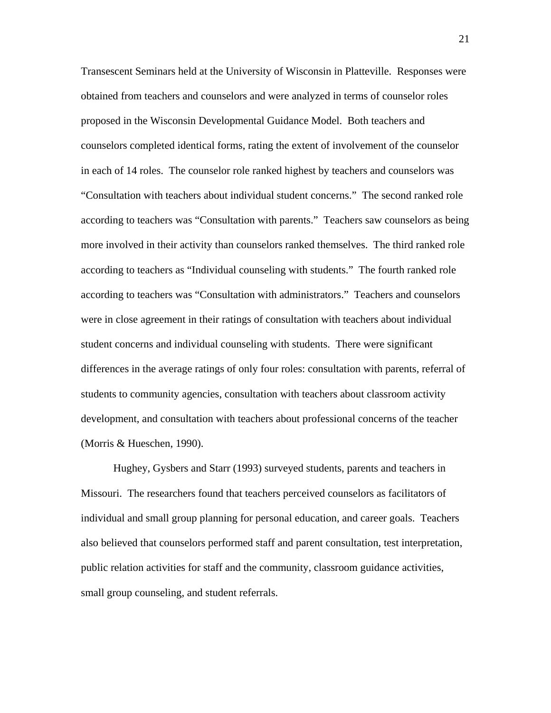Transescent Seminars held at the University of Wisconsin in Platteville. Responses were obtained from teachers and counselors and were analyzed in terms of counselor roles proposed in the Wisconsin Developmental Guidance Model. Both teachers and counselors completed identical forms, rating the extent of involvement of the counselor in each of 14 roles. The counselor role ranked highest by teachers and counselors was "Consultation with teachers about individual student concerns." The second ranked role according to teachers was "Consultation with parents." Teachers saw counselors as being more involved in their activity than counselors ranked themselves. The third ranked role according to teachers as "Individual counseling with students." The fourth ranked role according to teachers was "Consultation with administrators." Teachers and counselors were in close agreement in their ratings of consultation with teachers about individual student concerns and individual counseling with students. There were significant differences in the average ratings of only four roles: consultation with parents, referral of students to community agencies, consultation with teachers about classroom activity development, and consultation with teachers about professional concerns of the teacher (Morris & Hueschen, 1990).

Hughey, Gysbers and Starr (1993) surveyed students, parents and teachers in Missouri. The researchers found that teachers perceived counselors as facilitators of individual and small group planning for personal education, and career goals. Teachers also believed that counselors performed staff and parent consultation, test interpretation, public relation activities for staff and the community, classroom guidance activities, small group counseling, and student referrals.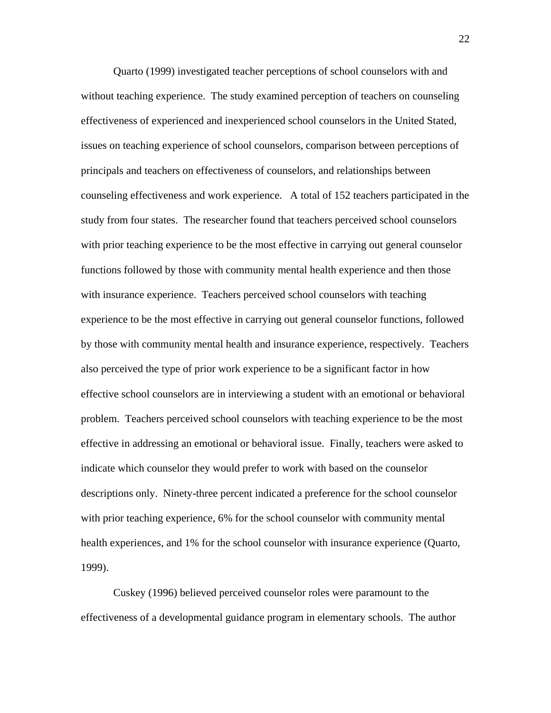Quarto (1999) investigated teacher perceptions of school counselors with and without teaching experience. The study examined perception of teachers on counseling effectiveness of experienced and inexperienced school counselors in the United Stated, issues on teaching experience of school counselors, comparison between perceptions of principals and teachers on effectiveness of counselors, and relationships between counseling effectiveness and work experience. A total of 152 teachers participated in the study from four states. The researcher found that teachers perceived school counselors with prior teaching experience to be the most effective in carrying out general counselor functions followed by those with community mental health experience and then those with insurance experience. Teachers perceived school counselors with teaching experience to be the most effective in carrying out general counselor functions, followed by those with community mental health and insurance experience, respectively. Teachers also perceived the type of prior work experience to be a significant factor in how effective school counselors are in interviewing a student with an emotional or behavioral problem. Teachers perceived school counselors with teaching experience to be the most effective in addressing an emotional or behavioral issue. Finally, teachers were asked to indicate which counselor they would prefer to work with based on the counselor descriptions only. Ninety-three percent indicated a preference for the school counselor with prior teaching experience, 6% for the school counselor with community mental health experiences, and 1% for the school counselor with insurance experience (Quarto, 1999).

 Cuskey (1996) believed perceived counselor roles were paramount to the effectiveness of a developmental guidance program in elementary schools. The author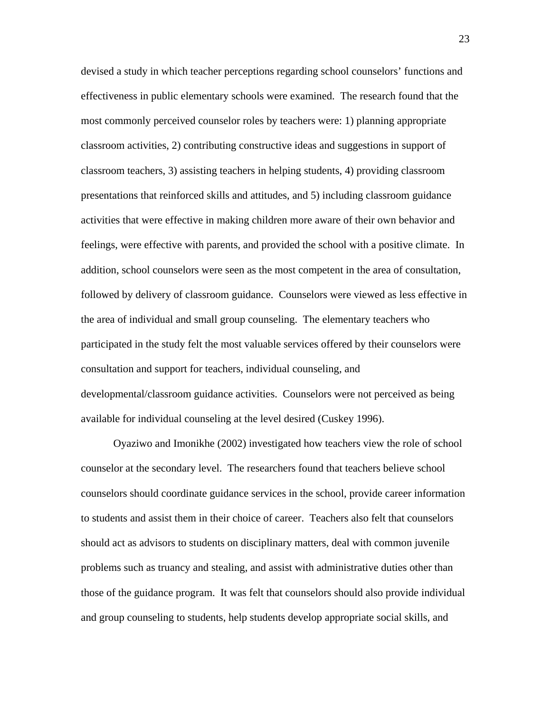devised a study in which teacher perceptions regarding school counselors' functions and effectiveness in public elementary schools were examined. The research found that the most commonly perceived counselor roles by teachers were: 1) planning appropriate classroom activities, 2) contributing constructive ideas and suggestions in support of classroom teachers, 3) assisting teachers in helping students, 4) providing classroom presentations that reinforced skills and attitudes, and 5) including classroom guidance activities that were effective in making children more aware of their own behavior and feelings, were effective with parents, and provided the school with a positive climate. In addition, school counselors were seen as the most competent in the area of consultation, followed by delivery of classroom guidance. Counselors were viewed as less effective in the area of individual and small group counseling. The elementary teachers who participated in the study felt the most valuable services offered by their counselors were consultation and support for teachers, individual counseling, and developmental/classroom guidance activities. Counselors were not perceived as being available for individual counseling at the level desired (Cuskey 1996).

 Oyaziwo and Imonikhe (2002) investigated how teachers view the role of school counselor at the secondary level. The researchers found that teachers believe school counselors should coordinate guidance services in the school, provide career information to students and assist them in their choice of career. Teachers also felt that counselors should act as advisors to students on disciplinary matters, deal with common juvenile problems such as truancy and stealing, and assist with administrative duties other than those of the guidance program. It was felt that counselors should also provide individual and group counseling to students, help students develop appropriate social skills, and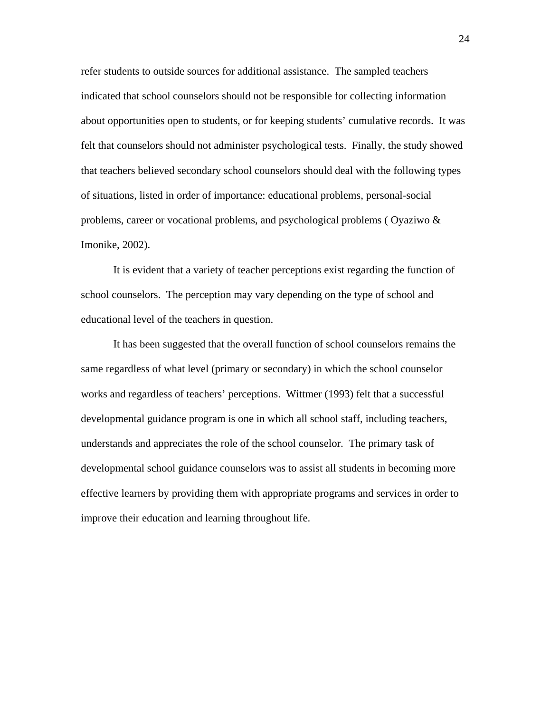refer students to outside sources for additional assistance. The sampled teachers indicated that school counselors should not be responsible for collecting information about opportunities open to students, or for keeping students' cumulative records. It was felt that counselors should not administer psychological tests. Finally, the study showed that teachers believed secondary school counselors should deal with the following types of situations, listed in order of importance: educational problems, personal-social problems, career or vocational problems, and psychological problems ( Oyaziwo & Imonike, 2002).

 It is evident that a variety of teacher perceptions exist regarding the function of school counselors. The perception may vary depending on the type of school and educational level of the teachers in question.

 It has been suggested that the overall function of school counselors remains the same regardless of what level (primary or secondary) in which the school counselor works and regardless of teachers' perceptions. Wittmer (1993) felt that a successful developmental guidance program is one in which all school staff, including teachers, understands and appreciates the role of the school counselor. The primary task of developmental school guidance counselors was to assist all students in becoming more effective learners by providing them with appropriate programs and services in order to improve their education and learning throughout life.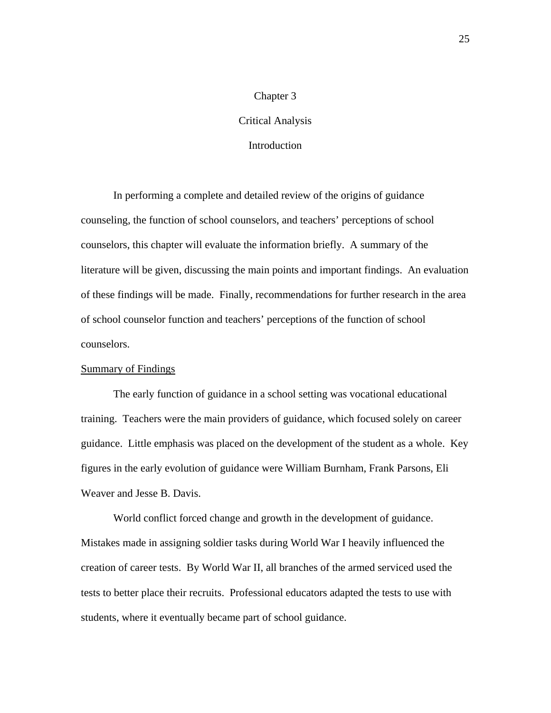# Chapter 3

# Critical Analysis

# **Introduction**

In performing a complete and detailed review of the origins of guidance counseling, the function of school counselors, and teachers' perceptions of school counselors, this chapter will evaluate the information briefly. A summary of the literature will be given, discussing the main points and important findings. An evaluation of these findings will be made. Finally, recommendations for further research in the area of school counselor function and teachers' perceptions of the function of school counselors.

## Summary of Findings

 The early function of guidance in a school setting was vocational educational training. Teachers were the main providers of guidance, which focused solely on career guidance. Little emphasis was placed on the development of the student as a whole. Key figures in the early evolution of guidance were William Burnham, Frank Parsons, Eli Weaver and Jesse B. Davis.

 World conflict forced change and growth in the development of guidance. Mistakes made in assigning soldier tasks during World War I heavily influenced the creation of career tests. By World War II, all branches of the armed serviced used the tests to better place their recruits. Professional educators adapted the tests to use with students, where it eventually became part of school guidance.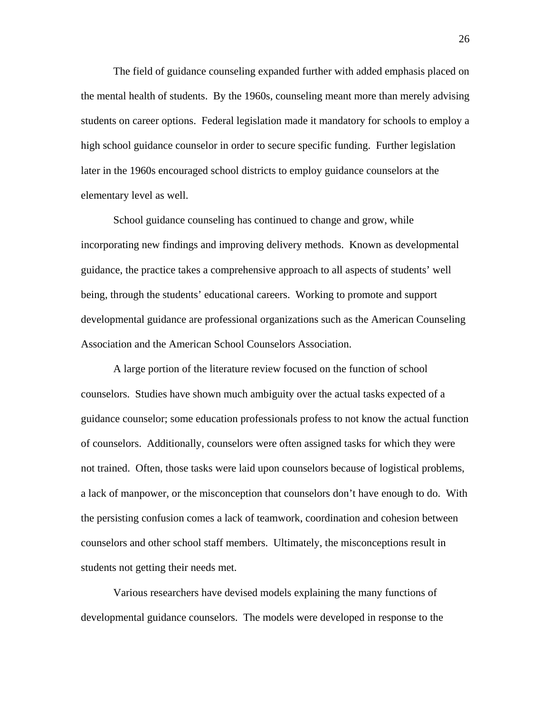The field of guidance counseling expanded further with added emphasis placed on the mental health of students. By the 1960s, counseling meant more than merely advising students on career options. Federal legislation made it mandatory for schools to employ a high school guidance counselor in order to secure specific funding. Further legislation later in the 1960s encouraged school districts to employ guidance counselors at the elementary level as well.

 School guidance counseling has continued to change and grow, while incorporating new findings and improving delivery methods. Known as developmental guidance, the practice takes a comprehensive approach to all aspects of students' well being, through the students' educational careers. Working to promote and support developmental guidance are professional organizations such as the American Counseling Association and the American School Counselors Association.

 A large portion of the literature review focused on the function of school counselors. Studies have shown much ambiguity over the actual tasks expected of a guidance counselor; some education professionals profess to not know the actual function of counselors. Additionally, counselors were often assigned tasks for which they were not trained. Often, those tasks were laid upon counselors because of logistical problems, a lack of manpower, or the misconception that counselors don't have enough to do. With the persisting confusion comes a lack of teamwork, coordination and cohesion between counselors and other school staff members. Ultimately, the misconceptions result in students not getting their needs met.

 Various researchers have devised models explaining the many functions of developmental guidance counselors. The models were developed in response to the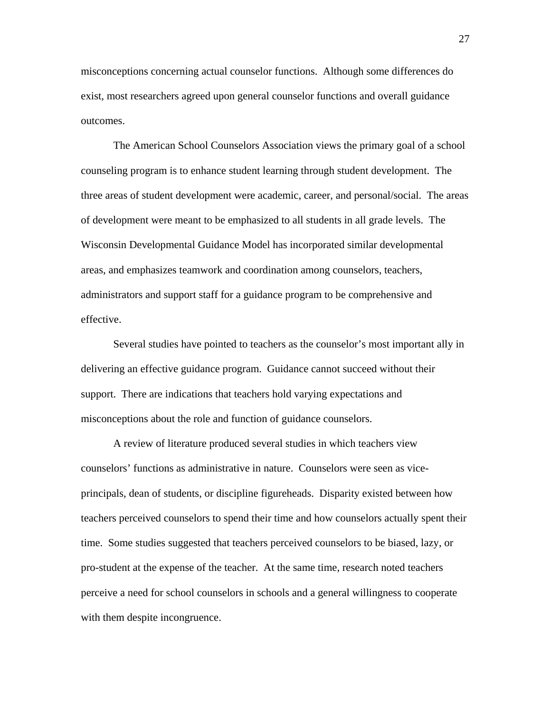misconceptions concerning actual counselor functions. Although some differences do exist, most researchers agreed upon general counselor functions and overall guidance outcomes.

 The American School Counselors Association views the primary goal of a school counseling program is to enhance student learning through student development. The three areas of student development were academic, career, and personal/social. The areas of development were meant to be emphasized to all students in all grade levels. The Wisconsin Developmental Guidance Model has incorporated similar developmental areas, and emphasizes teamwork and coordination among counselors, teachers, administrators and support staff for a guidance program to be comprehensive and effective.

 Several studies have pointed to teachers as the counselor's most important ally in delivering an effective guidance program. Guidance cannot succeed without their support. There are indications that teachers hold varying expectations and misconceptions about the role and function of guidance counselors.

 A review of literature produced several studies in which teachers view counselors' functions as administrative in nature. Counselors were seen as viceprincipals, dean of students, or discipline figureheads. Disparity existed between how teachers perceived counselors to spend their time and how counselors actually spent their time. Some studies suggested that teachers perceived counselors to be biased, lazy, or pro-student at the expense of the teacher. At the same time, research noted teachers perceive a need for school counselors in schools and a general willingness to cooperate with them despite incongruence.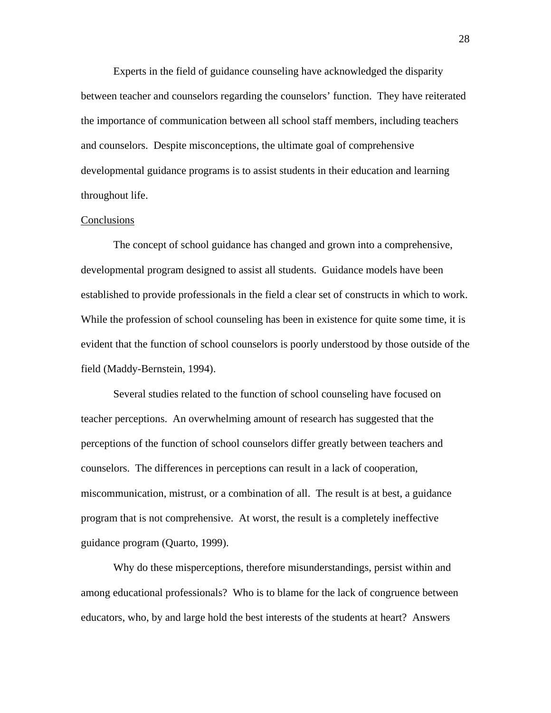Experts in the field of guidance counseling have acknowledged the disparity between teacher and counselors regarding the counselors' function. They have reiterated the importance of communication between all school staff members, including teachers and counselors. Despite misconceptions, the ultimate goal of comprehensive developmental guidance programs is to assist students in their education and learning throughout life.

#### **Conclusions**

 The concept of school guidance has changed and grown into a comprehensive, developmental program designed to assist all students. Guidance models have been established to provide professionals in the field a clear set of constructs in which to work. While the profession of school counseling has been in existence for quite some time, it is evident that the function of school counselors is poorly understood by those outside of the field (Maddy-Bernstein, 1994).

 Several studies related to the function of school counseling have focused on teacher perceptions. An overwhelming amount of research has suggested that the perceptions of the function of school counselors differ greatly between teachers and counselors. The differences in perceptions can result in a lack of cooperation, miscommunication, mistrust, or a combination of all. The result is at best, a guidance program that is not comprehensive. At worst, the result is a completely ineffective guidance program (Quarto, 1999).

 Why do these misperceptions, therefore misunderstandings, persist within and among educational professionals? Who is to blame for the lack of congruence between educators, who, by and large hold the best interests of the students at heart? Answers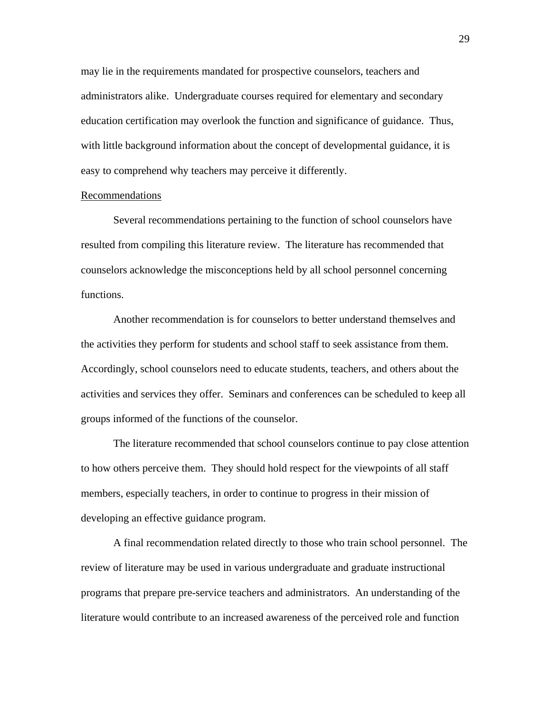may lie in the requirements mandated for prospective counselors, teachers and administrators alike. Undergraduate courses required for elementary and secondary education certification may overlook the function and significance of guidance. Thus, with little background information about the concept of developmental guidance, it is easy to comprehend why teachers may perceive it differently.

#### Recommendations

 Several recommendations pertaining to the function of school counselors have resulted from compiling this literature review. The literature has recommended that counselors acknowledge the misconceptions held by all school personnel concerning functions.

 Another recommendation is for counselors to better understand themselves and the activities they perform for students and school staff to seek assistance from them. Accordingly, school counselors need to educate students, teachers, and others about the activities and services they offer. Seminars and conferences can be scheduled to keep all groups informed of the functions of the counselor.

 The literature recommended that school counselors continue to pay close attention to how others perceive them. They should hold respect for the viewpoints of all staff members, especially teachers, in order to continue to progress in their mission of developing an effective guidance program.

 A final recommendation related directly to those who train school personnel. The review of literature may be used in various undergraduate and graduate instructional programs that prepare pre-service teachers and administrators. An understanding of the literature would contribute to an increased awareness of the perceived role and function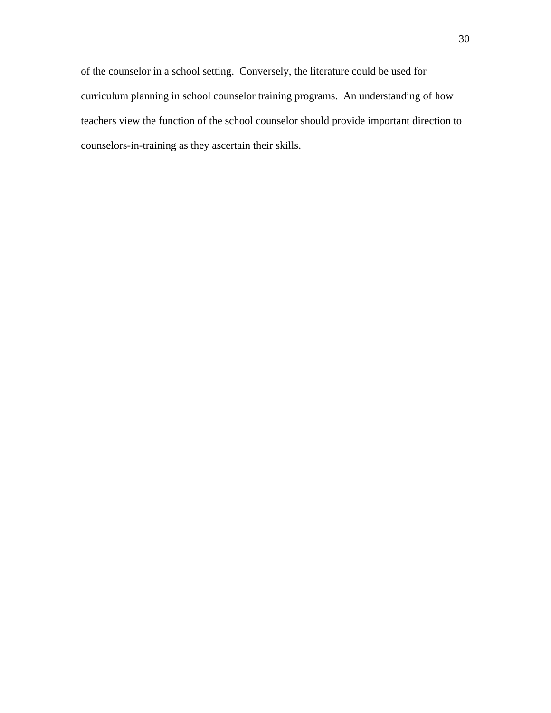of the counselor in a school setting. Conversely, the literature could be used for curriculum planning in school counselor training programs. An understanding of how teachers view the function of the school counselor should provide important direction to counselors-in-training as they ascertain their skills.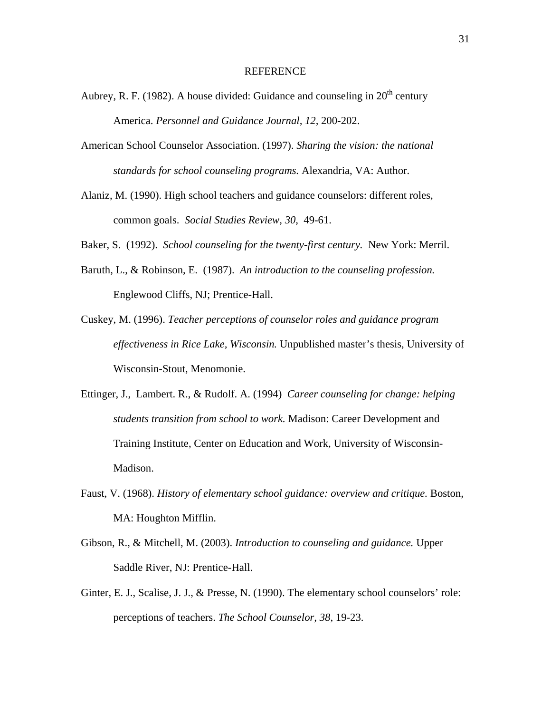#### REFERENCE

- Aubrey, R. F. (1982). A house divided: Guidance and counseling in  $20<sup>th</sup>$  century America. *Personnel and Guidance Journal, 12,* 200-202.
- American School Counselor Association. (1997). *Sharing the vision: the national standards for school counseling programs.* Alexandria, VA: Author.
- Alaniz, M. (1990). High school teachers and guidance counselors: different roles, common goals. *Social Studies Review, 30*, 49-61.
- Baker, S. (1992). *School counseling for the twenty-first century.* New York: Merril.
- Baruth, L., & Robinson, E. (1987). *An introduction to the counseling profession.*  Englewood Cliffs, NJ; Prentice-Hall.
- Cuskey, M. (1996). *Teacher perceptions of counselor roles and guidance program effectiveness in Rice Lake, Wisconsin.* Unpublished master's thesis, University of Wisconsin-Stout, Menomonie.
- Ettinger, J., Lambert. R., & Rudolf. A. (1994) *Career counseling for change: helping students transition from school to work.* Madison: Career Development and Training Institute, Center on Education and Work, University of Wisconsin- Madison.
- Faust, V. (1968). *History of elementary school guidance: overview and critique.* Boston, MA: Houghton Mifflin.
- Gibson, R., & Mitchell, M. (2003). *Introduction to counseling and guidance.* Upper Saddle River, NJ: Prentice-Hall.
- Ginter, E. J., Scalise, J. J., & Presse, N. (1990). The elementary school counselors' role: perceptions of teachers. *The School Counselor, 38*, 19-23.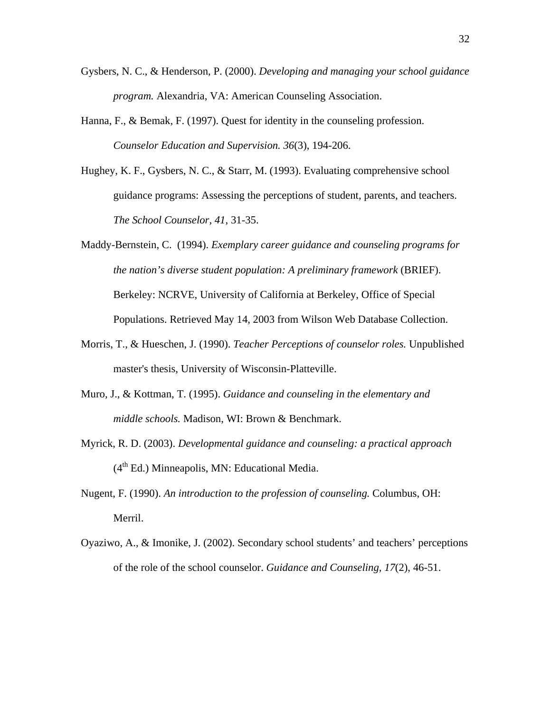- Gysbers, N. C., & Henderson, P. (2000). *Developing and managing your school guidance program.* Alexandria, VA: American Counseling Association.
- Hanna, F., & Bemak, F. (1997). Quest for identity in the counseling profession.  *Counselor Education and Supervision. 36*(3), 194-206.
- Hughey, K. F., Gysbers, N. C., & Starr, M. (1993). Evaluating comprehensive school guidance programs: Assessing the perceptions of student, parents, and teachers. *The School Counselor, 41*, 31-35.
- Maddy-Bernstein, C. (1994). *Exemplary career guidance and counseling programs for the nation's diverse student population: A preliminary framework* (BRIEF). Berkeley: NCRVE, University of California at Berkeley, Office of Special Populations. Retrieved May 14, 2003 from Wilson Web Database Collection.
- Morris, T., & Hueschen, J. (1990). *Teacher Perceptions of counselor roles.* Unpublished master's thesis, University of Wisconsin-Platteville.
- Muro, J., & Kottman, T. (1995). *Guidance and counseling in the elementary and middle schools.* Madison, WI: Brown & Benchmark.
- Myrick, R. D. (2003). *Developmental guidance and counseling: a practical approach*  $(4<sup>th</sup> Ed.)$  Minneapolis, MN: Educational Media.
- Nugent, F. (1990). *An introduction to the profession of counseling.* Columbus, OH: Merril.
- Oyaziwo, A., & Imonike, J. (2002). Secondary school students' and teachers' perceptions of the role of the school counselor. *Guidance and Counseling, 17*(2), 46-51.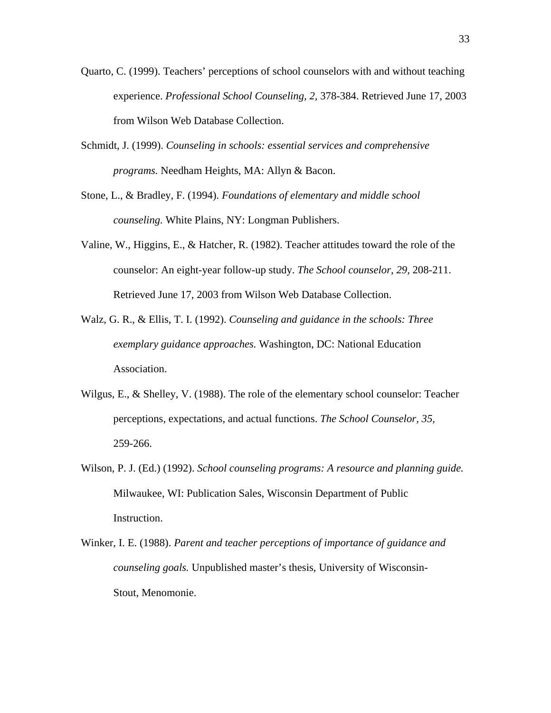- Quarto, C. (1999). Teachers' perceptions of school counselors with and without teaching experience. *Professional School Counseling, 2,* 378-384. Retrieved June 17, 2003 from Wilson Web Database Collection.
- Schmidt, J. (1999). *Counseling in schools: essential services and comprehensive programs.* Needham Heights, MA: Allyn & Bacon.
- Stone, L., & Bradley, F. (1994). *Foundations of elementary and middle school counseling.* White Plains, NY: Longman Publishers.
- Valine, W., Higgins, E., & Hatcher, R. (1982). Teacher attitudes toward the role of the counselor: An eight-year follow-up study. *The School counselor, 29,* 208-211. Retrieved June 17, 2003 from Wilson Web Database Collection.
- Walz, G. R., & Ellis, T. I. (1992). *Counseling and guidance in the schools: Three exemplary guidance approaches.* Washington, DC: National Education Association.
- Wilgus, E., & Shelley, V. (1988). The role of the elementary school counselor: Teacher perceptions, expectations, and actual functions. *The School Counselor, 35,* 259-266.
- Wilson, P. J. (Ed.) (1992). *School counseling programs: A resource and planning guide.*  Milwaukee, WI: Publication Sales, Wisconsin Department of Public Instruction.
- Winker, I. E. (1988). *Parent and teacher perceptions of importance of guidance and counseling goals.* Unpublished master's thesis, University of Wisconsin- Stout, Menomonie.